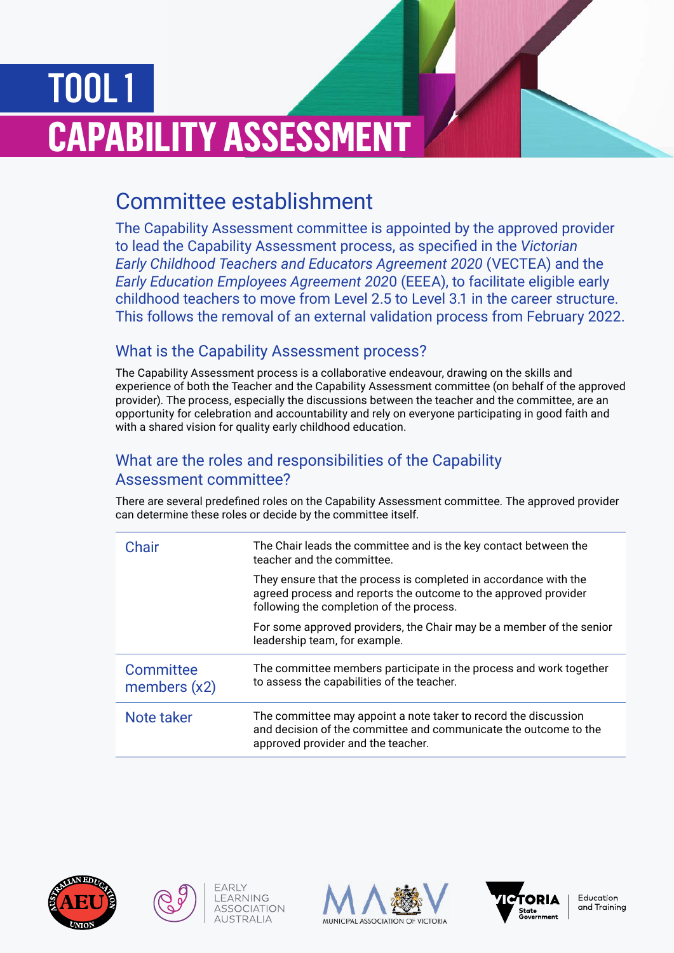# TOOL 1 **CAPABILITY ASSESSMENT**

# Committee establishment

The Capability Assessment committee is appointed by the approved provider to lead the Capability Assessment process, as specified in the *Victorian Early Childhood Teachers and Educators Agreement 2020* (VECTEA) and the *Early Education Employees Agreement 202*0 (EEEA), to facilitate eligible early childhood teachers to move from Level 2.5 to Level 3.1 in the career structure. This follows the removal of an external validation process from February 2022.

# What is the Capability Assessment process?

The Capability Assessment process is a collaborative endeavour, drawing on the skills and experience of both the Teacher and the Capability Assessment committee (on behalf of the approved provider). The process, especially the discussions between the teacher and the committee, are an opportunity for celebration and accountability and rely on everyone participating in good faith and with a shared vision for quality early childhood education.

## What are the roles and responsibilities of the Capability Assessment committee?

There are several predefined roles on the Capability Assessment committee. The approved provider can determine these roles or decide by the committee itself.

| Chair                       | The Chair leads the committee and is the key contact between the<br>teacher and the committee.                                                                                  |
|-----------------------------|---------------------------------------------------------------------------------------------------------------------------------------------------------------------------------|
|                             | They ensure that the process is completed in accordance with the<br>agreed process and reports the outcome to the approved provider<br>following the completion of the process. |
|                             | For some approved providers, the Chair may be a member of the senior<br>leadership team, for example.                                                                           |
| Committee<br>members $(x2)$ | The committee members participate in the process and work together<br>to assess the capabilities of the teacher.                                                                |
| Note taker                  | The committee may appoint a note taker to record the discussion<br>and decision of the committee and communicate the outcome to the<br>approved provider and the teacher.       |





FARIY LEARNING

**ASSOCIATION** 

**AUSTRALIA**